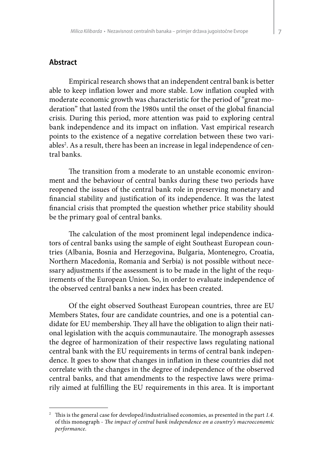## **Abstract**

Empirical research shows that an independent central bank is better able to keep inflation lower and more stable. Low inflation coupled with moderate economic growth was characteristic for the period of "great moderation" that lasted from the 1980s until the onset of the global financial crisis. During this period, more attention was paid to exploring central bank independence and its impact on inflation. Vast empirical research points to the existence of a negative correlation between these two variables<sup>2</sup>. As a result, there has been an increase in legal independence of central banks.

The transition from a moderate to an unstable economic environment and the behaviour of central banks during these two periods have reopened the issues of the central bank role in preserving monetary and financial stability and justification of its independence. It was the latest financial crisis that prompted the question whether price stability should be the primary goal of central banks.

The calculation of the most prominent legal independence indicators of central banks using the sample of eight Southeast European countries (Albania, Bosnia and Herzegovina, Bulgaria, Montenegro, Croatia, Northern Macedonia, Romania and Serbia) is not possible without necessary adjustments if the assessment is to be made in the light of the requirements of the European Union. So, in order to evaluate independence of the observed central banks a new index has been created.

Of the eight observed Southeast European countries, three are EU Members States, four are candidate countries, and one is a potential candidate for EU membership. They all have the obligation to align their national legislation with the acquis communautaire. The monograph assesses the degree of harmonization of their respective laws regulating national central bank with the EU requirements in terms of central bank independence. It goes to show that changes in inflation in these countries did not correlate with the changes in the degree of independence of the observed central banks, and that amendments to the respective laws were primarily aimed at fulfilling the EU requirements in this area. It is important

<sup>2</sup> This is the general case for developed/industrialised economies, as presented in the part *1.4.* of this monograph - *The impact of central bank independence on a country's macroeconomic performance.*